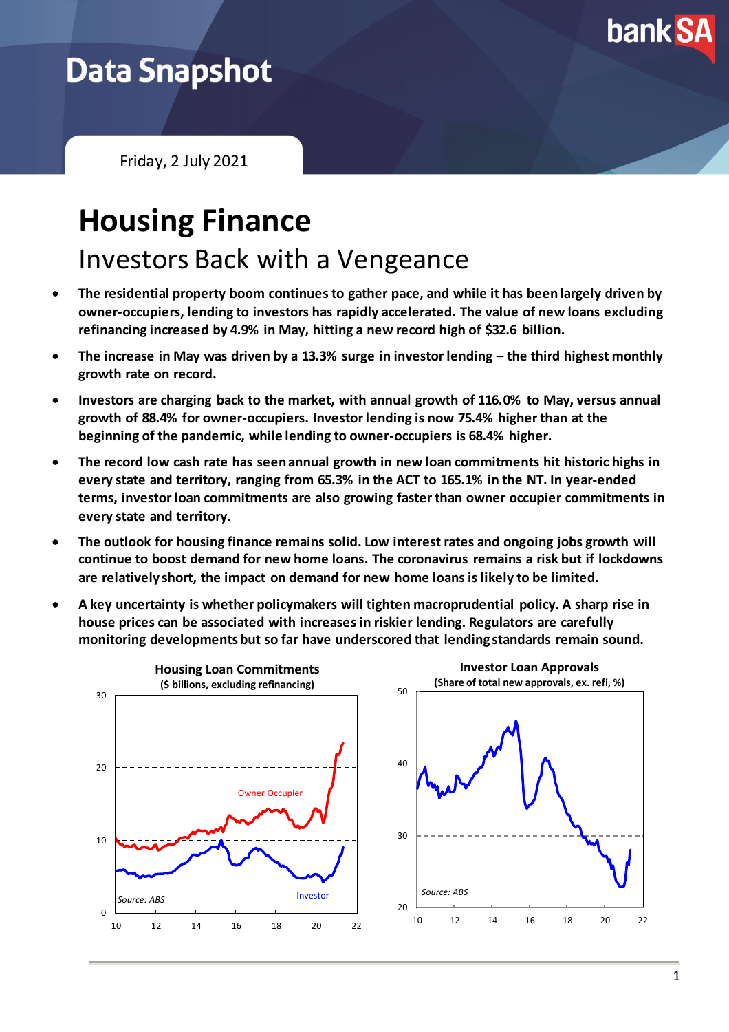

# **Data Snapshot**

Friday, 2 July 2021

# **Housing Finance**

Investors Back with a Vengeance

- **The residential property boom continues to gather pace, and while it has been largely driven by owner-occupiers, lending to investors has rapidly accelerated. The value of new loans excluding refinancing increased by 4.9% in May, hitting a new record high of \$32.6 billion.**
- The increase in May was driven by a 13.3% surge in investor lending the third highest monthly **growth rate on record.**
- **Investors are charging back to the market, with annual growth of 116.0% to May, versus annual growth of 88.4% for owner-occupiers. Investor lending is now 75.4% higher than at the beginning of the pandemic, while lending to owner-occupiers is 68.4% higher.**
- **The record low cash rate has seen annual growth in new loan commitments hit historic highs in every state and territory, ranging from 65.3% in the ACT to 165.1% in the NT. In year-ended terms, investor loan commitments are also growing faster than owner occupier commitments in every state and territory.**
- **The outlook for housing finance remains solid. Low interest rates and ongoing jobs growth will continue to boost demand for new home loans. The coronavirus remains a risk but if lockdowns are relatively short, the impact on demand for new home loans is likely to be limited.**
- **A key uncertainty is whether policymakers will tighten macroprudential policy. A sharp rise in house prices can be associated with increases in riskier lending. Regulators are carefully monitoring developments but so far have underscored that lending standards remain sound.**

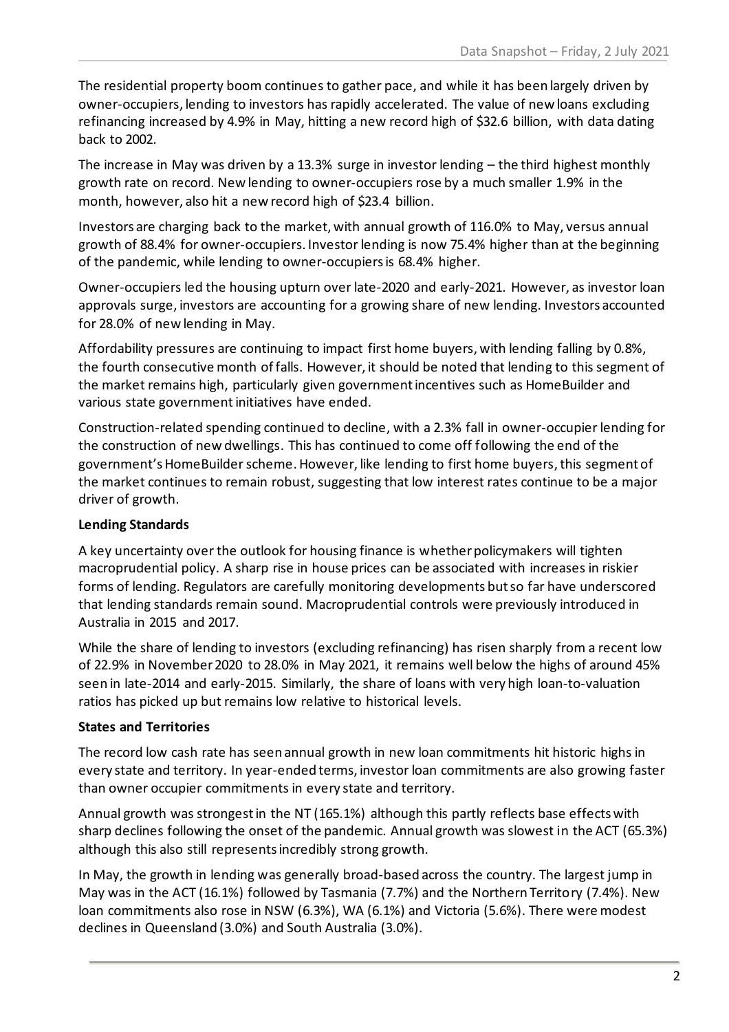The residential property boom continues to gather pace, and while it has been largely driven by owner-occupiers, lending to investors has rapidly accelerated. The value of new loans excluding refinancing increased by 4.9% in May, hitting a new record high of \$32.6 billion, with data dating back to 2002.

The increase in May was driven by a 13.3% surge in investor lending – the third highest monthly growth rate on record. New lending to owner-occupiers rose by a much smaller 1.9% in the month, however, also hit a new record high of \$23.4 billion.

Investors are charging back to the market, with annual growth of 116.0% to May, versus annual growth of 88.4% for owner-occupiers. Investor lending is now 75.4% higher than at the beginning of the pandemic, while lending to owner-occupiers is 68.4% higher.

Owner-occupiers led the housing upturn over late-2020 and early-2021. However, as investor loan approvals surge, investors are accounting for a growing share of new lending. Investors accounted for 28.0% of new lending in May.

Affordability pressures are continuing to impact first home buyers, with lending falling by 0.8%, the fourth consecutive month of falls. However, it should be noted that lending to this segment of the market remains high, particularly given government incentives such as HomeBuilder and various state government initiatives have ended.

Construction-related spending continued to decline, with a 2.3% fall in owner-occupier lending for the construction of new dwellings. This has continued to come off following the end of the government's HomeBuilder scheme. However, like lending to first home buyers, this segment of the market continues to remain robust, suggesting that low interest rates continue to be a major driver of growth.

#### **Lending Standards**

A key uncertainty over the outlook for housing finance is whether policymakers will tighten macroprudential policy. A sharp rise in house prices can be associated with increases in riskier forms of lending. Regulators are carefully monitoring developments but so far have underscored that lending standards remain sound. Macroprudential controls were previously introduced in Australia in 2015 and 2017.

While the share of lending to investors (excluding refinancing) has risen sharply from a recent low of 22.9% in November 2020 to 28.0% in May 2021, it remains well below the highs of around 45% seen in late-2014 and early-2015. Similarly, the share of loans with very high loan-to-valuation ratios has picked up but remains low relative to historical levels.

### **States and Territories**

The record low cash rate has seen annual growth in new loan commitments hit historic highs in every state and territory. In year-ended terms, investor loan commitments are also growing faster than owner occupier commitments in every state and territory.

Annual growth was strongest in the NT (165.1%) although this partly reflects base effects with sharp declines following the onset of the pandemic. Annual growth was slowest in the ACT (65.3%) although this also still represents incredibly strong growth.

In May, the growth in lending was generally broad-based across the country. The largest jump in May was in the ACT (16.1%) followed by Tasmania (7.7%) and the Northern Territory (7.4%). New loan commitments also rose in NSW (6.3%), WA (6.1%) and Victoria (5.6%). There were modest declines in Queensland (3.0%) and South Australia (3.0%).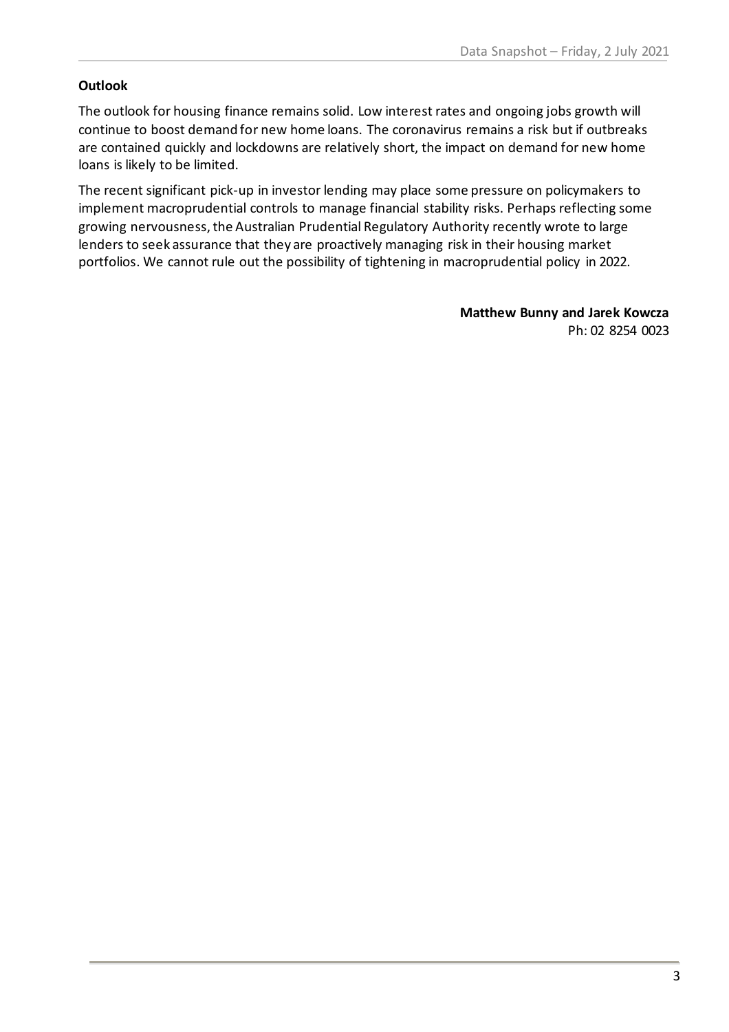#### **Outlook**

The outlook for housing finance remains solid. Low interest rates and ongoing jobs growth will continue to boost demand for new home loans. The coronavirus remains a risk but if outbreaks are contained quickly and lockdowns are relatively short, the impact on demand for new home loans is likely to be limited.

The recent significant pick-up in investor lending may place some pressure on policymakers to implement macroprudential controls to manage financial stability risks. Perhaps reflecting some growing nervousness,the Australian Prudential Regulatory Authority recently wrote to large lenders to seek assurance that they are proactively managing risk in their housing market portfolios. We cannot rule out the possibility of tightening in macroprudential policy in 2022.

> **Matthew Bunny and Jarek Kowcza** Ph: 02 8254 0023